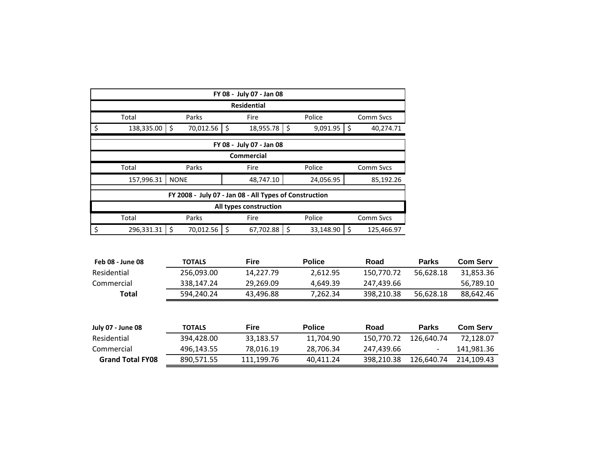| FY 08 - July 07 - Jan 08                             |                                                      |                |                                                        |                |                  |  |  |  |  |  |
|------------------------------------------------------|------------------------------------------------------|----------------|--------------------------------------------------------|----------------|------------------|--|--|--|--|--|
|                                                      |                                                      |                | <b>Residential</b>                                     |                |                  |  |  |  |  |  |
|                                                      | Parks<br>Police<br>Total<br>Fire<br><b>Comm Sycs</b> |                |                                                        |                |                  |  |  |  |  |  |
| \$                                                   | 138,335.00                                           | 70,012.56<br>S | \$<br>18,955.78                                        | \$<br>9,091.95 | 40,274.71<br>.S  |  |  |  |  |  |
|                                                      |                                                      |                | FY 08 - July 07 - Jan 08                               |                |                  |  |  |  |  |  |
|                                                      |                                                      |                | <b>Commercial</b>                                      |                |                  |  |  |  |  |  |
| Parks<br>Police<br>Total<br><b>Comm Sycs</b><br>Fire |                                                      |                |                                                        |                |                  |  |  |  |  |  |
|                                                      |                                                      |                |                                                        |                |                  |  |  |  |  |  |
|                                                      | 157,996.31                                           | <b>NONE</b>    | 48,747.10                                              | 24,056.95      | 85,192.26        |  |  |  |  |  |
|                                                      |                                                      |                | FY 2008 - July 07 - Jan 08 - All Types of Construction |                |                  |  |  |  |  |  |
|                                                      |                                                      |                | All types construction                                 |                |                  |  |  |  |  |  |
|                                                      | Total                                                | Parks          | Fire                                                   | Police         | <b>Comm Sycs</b> |  |  |  |  |  |

| Feb 08 - June 08         | <b>TOTALS</b> | <b>Fire</b> | <b>Police</b> | Road       | <b>Parks</b>             | <b>Com Serv</b> |
|--------------------------|---------------|-------------|---------------|------------|--------------------------|-----------------|
| Residential              | 256,093.00    | 14,227.79   | 2,612.95      | 150,770.72 | 56,628.18                | 31,853.36       |
| Commercial               | 338,147.24    | 29,269.09   | 4,649.39      | 247,439.66 |                          | 56,789.10       |
| <b>Total</b>             | 594,240.24    | 43,496.88   | 7,262.34      | 398,210.38 | 56,628.18                | 88,642.46       |
| <b>July 07 - June 08</b> | <b>TOTALS</b> | <b>Fire</b> | <b>Police</b> | Road       | <b>Parks</b>             | <b>Com Serv</b> |
| Residential              | 394,428.00    | 33,183.57   | 11,704.90     | 150,770.72 | 126,640.74               | 72,128.07       |
| Commercial               | 496,143.55    | 78,016.19   | 28,706.34     | 247,439.66 | $\overline{\phantom{a}}$ | 141,981.36      |
| <b>Grand Total FY08</b>  | 890,571.55    | 111,199.76  | 40,411.24     | 398,210.38 | 126,640.74               | 214,109.43      |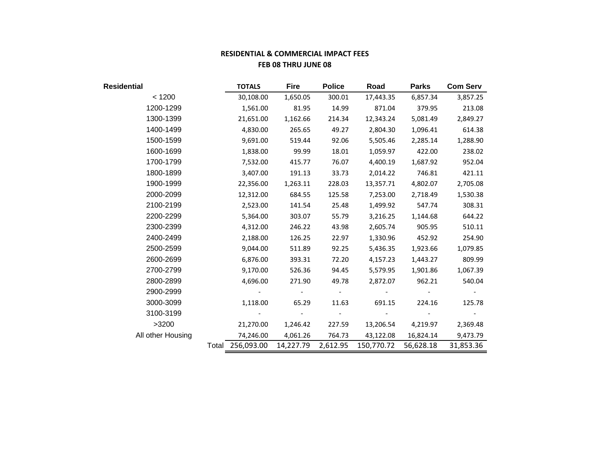# **RESIDENTIAL & COMMERCIAL IMPACT FEES FEB 08 THRU JUNE 08**

| Residential       |                  | <b>TOTALS</b> | <b>Fire</b>     | <b>Police</b> | Road       | <b>Parks</b> | <b>Com Serv</b> |
|-------------------|------------------|---------------|-----------------|---------------|------------|--------------|-----------------|
| < 1200            |                  | 30,108.00     | 1,650.05        | 300.01        | 17,443.35  | 6,857.34     | 3,857.25        |
| 1200-1299         |                  | 1,561.00      | 81.95           | 14.99         | 871.04     | 379.95       | 213.08          |
| 1300-1399         |                  | 21,651.00     | 1,162.66        | 214.34        | 12,343.24  | 5,081.49     | 2,849.27        |
| 1400-1499         |                  | 4,830.00      | 265.65          | 49.27         | 2,804.30   | 1,096.41     | 614.38          |
| 1500-1599         |                  | 9,691.00      | 519.44          | 92.06         | 5,505.46   | 2,285.14     | 1,288.90        |
| 1600-1699         |                  | 1,838.00      | 99.99           | 18.01         | 1,059.97   | 422.00       | 238.02          |
| 1700-1799         |                  | 7,532.00      | 415.77          | 76.07         | 4,400.19   | 1,687.92     | 952.04          |
| 1800-1899         |                  | 3,407.00      | 191.13          | 33.73         | 2,014.22   | 746.81       | 421.11          |
| 1900-1999         |                  | 22,356.00     | 1,263.11        | 228.03        | 13,357.71  | 4,802.07     | 2,705.08        |
| 2000-2099         |                  | 12,312.00     | 684.55          | 125.58        | 7,253.00   | 2,718.49     | 1,530.38        |
| 2100-2199         |                  | 2,523.00      | 141.54          | 25.48         | 1,499.92   | 547.74       | 308.31          |
| 2200-2299         |                  | 5,364.00      | 303.07          | 55.79         | 3,216.25   | 1,144.68     | 644.22          |
| 2300-2399         |                  | 4,312.00      | 246.22          | 43.98         | 2,605.74   | 905.95       | 510.11          |
| 2400-2499         |                  | 2,188.00      | 126.25          | 22.97         | 1,330.96   | 452.92       | 254.90          |
| 2500-2599         |                  | 9,044.00      | 511.89          | 92.25         | 5,436.35   | 1,923.66     | 1,079.85        |
| 2600-2699         |                  | 6,876.00      | 393.31          | 72.20         | 4,157.23   | 1,443.27     | 809.99          |
| 2700-2799         |                  | 9,170.00      | 526.36          | 94.45         | 5,579.95   | 1,901.86     | 1,067.39        |
| 2800-2899         |                  | 4,696.00      | 271.90          | 49.78         | 2,872.07   | 962.21       | 540.04          |
| 2900-2999         |                  |               | $\sim 10^{-10}$ | $\sim$ $-$    |            |              |                 |
| 3000-3099         |                  | 1,118.00      | 65.29           | 11.63         | 691.15     | 224.16       | 125.78          |
| 3100-3199         |                  |               |                 | $\sim 100$    |            |              |                 |
| >3200             |                  | 21,270.00     | 1,246.42        | 227.59        | 13,206.54  | 4,219.97     | 2,369.48        |
| All other Housing |                  | 74,246.00     | 4,061.26        | 764.73        | 43,122.08  | 16,824.14    | 9,473.79        |
|                   | Total 256,093.00 |               | 14,227.79       | 2,612.95      | 150,770.72 | 56,628.18    | 31,853.36       |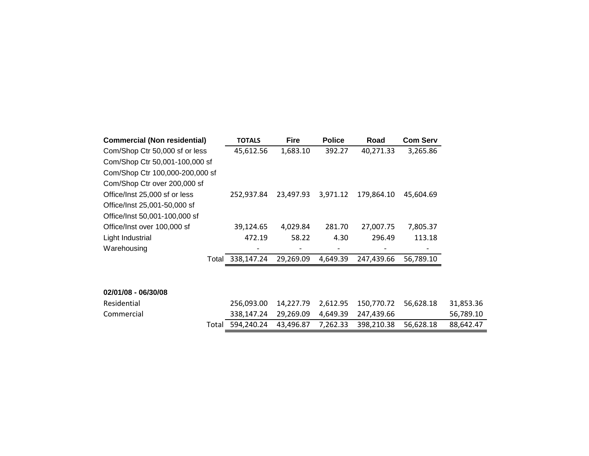| <b>Commercial (Non residential)</b> | <b>TOTALS</b>    | <b>Fire</b> | <b>Police</b> | Road       | <b>Com Serv</b> |           |
|-------------------------------------|------------------|-------------|---------------|------------|-----------------|-----------|
| Com/Shop Ctr 50,000 sf or less      | 45,612.56        | 1,683.10    | 392.27        | 40,271.33  | 3,265.86        |           |
| Com/Shop Ctr 50,001-100,000 sf      |                  |             |               |            |                 |           |
| Com/Shop Ctr 100,000-200,000 sf     |                  |             |               |            |                 |           |
| Com/Shop Ctr over 200,000 sf        |                  |             |               |            |                 |           |
| Office/Inst 25,000 sf or less       | 252,937.84       | 23,497.93   | 3,971.12      | 179,864.10 | 45,604.69       |           |
| Office/Inst 25,001-50,000 sf        |                  |             |               |            |                 |           |
| Office/Inst 50,001-100,000 sf       |                  |             |               |            |                 |           |
| Office/Inst over 100,000 sf         | 39,124.65        | 4,029.84    | 281.70        | 27,007.75  | 7,805.37        |           |
| Light Industrial                    | 472.19           | 58.22       | 4.30          | 296.49     | 113.18          |           |
| Warehousing                         |                  |             |               |            |                 |           |
|                                     | Total 338,147.24 | 29,269.09   | 4,649.39      | 247,439.66 | 56,789.10       |           |
|                                     |                  |             |               |            |                 |           |
|                                     |                  |             |               |            |                 |           |
| 02/01/08 - 06/30/08                 |                  |             |               |            |                 |           |
| Residential                         | 256,093.00       | 14,227.79   | 2,612.95      | 150,770.72 | 56,628.18       | 31,853.36 |
| Commercial                          | 338,147.24       | 29,269.09   | 4,649.39      | 247,439.66 |                 | 56,789.10 |
| Total                               | 594,240.24       | 43,496.87   | 7,262.33      | 398,210.38 | 56,628.18       | 88,642.47 |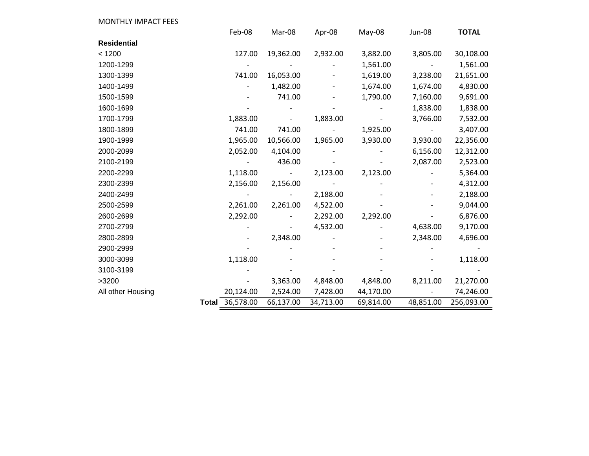| <b>MONTHLY IMPACT FEES</b> |                    |                          |           |           |                          |              |
|----------------------------|--------------------|--------------------------|-----------|-----------|--------------------------|--------------|
|                            | Feb-08             | Mar-08                   | Apr-08    | May-08    | <b>Jun-08</b>            | <b>TOTAL</b> |
| <b>Residential</b>         |                    |                          |           |           |                          |              |
| < 1200                     | 127.00             | 19,362.00                | 2,932.00  | 3,882.00  | 3,805.00                 | 30,108.00    |
| 1200-1299                  |                    |                          |           | 1,561.00  |                          | 1,561.00     |
| 1300-1399                  | 741.00             | 16,053.00                |           | 1,619.00  | 3,238.00                 | 21,651.00    |
| 1400-1499                  |                    | 1,482.00                 |           | 1,674.00  | 1,674.00                 | 4,830.00     |
| 1500-1599                  |                    | 741.00                   |           | 1,790.00  | 7,160.00                 | 9,691.00     |
| 1600-1699                  |                    |                          |           |           | 1,838.00                 | 1,838.00     |
| 1700-1799                  | 1,883.00           |                          | 1,883.00  |           | 3,766.00                 | 7,532.00     |
| 1800-1899                  | 741.00             | 741.00                   |           | 1,925.00  | $\overline{\phantom{a}}$ | 3,407.00     |
| 1900-1999                  | 1,965.00           | 10,566.00                | 1,965.00  | 3,930.00  | 3,930.00                 | 22,356.00    |
| 2000-2099                  | 2,052.00           | 4,104.00                 |           |           | 6,156.00                 | 12,312.00    |
| 2100-2199                  |                    | 436.00                   |           |           | 2,087.00                 | 2,523.00     |
| 2200-2299                  | 1,118.00           | $\overline{\phantom{a}}$ | 2,123.00  | 2,123.00  |                          | 5,364.00     |
| 2300-2399                  | 2,156.00           | 2,156.00                 |           |           |                          | 4,312.00     |
| 2400-2499                  | $\qquad \qquad -$  |                          | 2,188.00  |           |                          | 2,188.00     |
| 2500-2599                  | 2,261.00           | 2,261.00                 | 4,522.00  |           |                          | 9,044.00     |
| 2600-2699                  | 2,292.00           |                          | 2,292.00  | 2,292.00  |                          | 6,876.00     |
| 2700-2799                  |                    |                          | 4,532.00  |           | 4,638.00                 | 9,170.00     |
| 2800-2899                  |                    | 2,348.00                 |           |           | 2,348.00                 | 4,696.00     |
| 2900-2999                  |                    |                          |           |           |                          |              |
| 3000-3099                  | 1,118.00           |                          |           |           |                          | 1,118.00     |
| 3100-3199                  |                    |                          |           |           |                          |              |
| >3200                      |                    | 3,363.00                 | 4,848.00  | 4,848.00  | 8,211.00                 | 21,270.00    |
| All other Housing          | 20,124.00          | 2,524.00                 | 7,428.00  | 44,170.00 |                          | 74,246.00    |
|                            | 36,578.00<br>Total | 66,137.00                | 34,713.00 | 69,814.00 | 48,851.00                | 256,093.00   |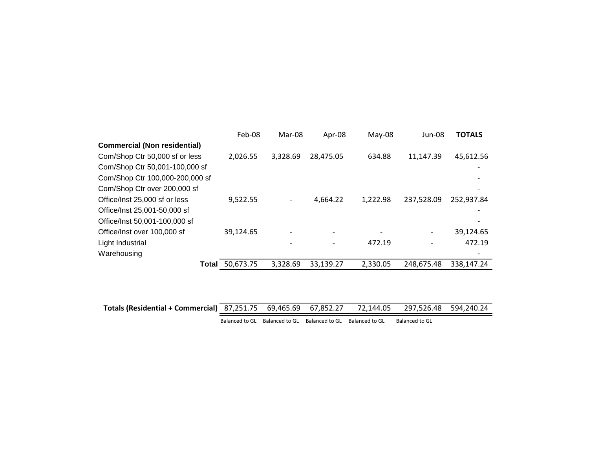|                                     | Feb-08    | Mar-08   | Apr-08    | $May-08$ | Jun-08     | <b>TOTALS</b> |
|-------------------------------------|-----------|----------|-----------|----------|------------|---------------|
| <b>Commercial (Non residential)</b> |           |          |           |          |            |               |
| Com/Shop Ctr 50,000 sf or less      | 2,026.55  | 3,328.69 | 28,475.05 | 634.88   | 11,147.39  | 45,612.56     |
| Com/Shop Ctr 50,001-100,000 sf      |           |          |           |          |            |               |
| Com/Shop Ctr 100,000-200,000 sf     |           |          |           |          |            |               |
| Com/Shop Ctr over 200,000 sf        |           |          |           |          |            |               |
| Office/Inst 25,000 sf or less       | 9,522.55  |          | 4,664.22  | 1,222.98 | 237,528.09 | 252,937.84    |
| Office/Inst 25,001-50,000 sf        |           |          |           |          |            |               |
| Office/Inst 50,001-100,000 sf       |           |          |           |          |            |               |
| Office/Inst over 100,000 sf         | 39,124.65 |          |           |          |            | 39,124.65     |
| Light Industrial                    |           |          |           | 472.19   |            | 472.19        |
| Warehousing                         |           |          |           |          |            |               |
| <b>Total</b>                        | 50,673.75 | 3,328.69 | 33,139.27 | 2,330.05 | 248,675.48 | 338,147.24    |

| Totals (Residential + Commercial) 87,251.75 69,465.69 67,852.27 72,144.05 297,526.48 594,240.24 |  |  |  |  |  |  |
|-------------------------------------------------------------------------------------------------|--|--|--|--|--|--|
|-------------------------------------------------------------------------------------------------|--|--|--|--|--|--|

Balanced to GL Balanced to GL Balanced to GL Balanced to GL Balanced to GL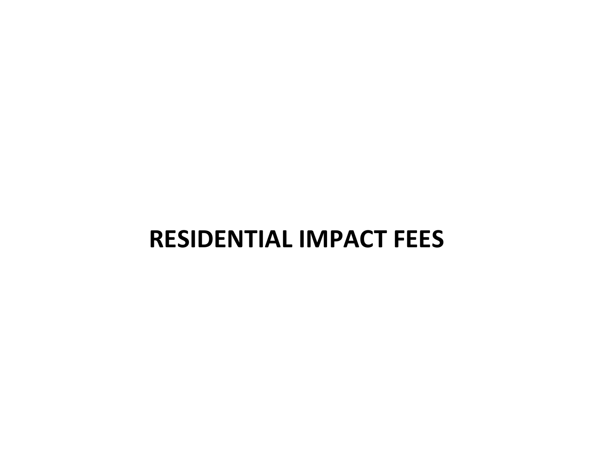# **RESIDENTIAL IMPACT FEES**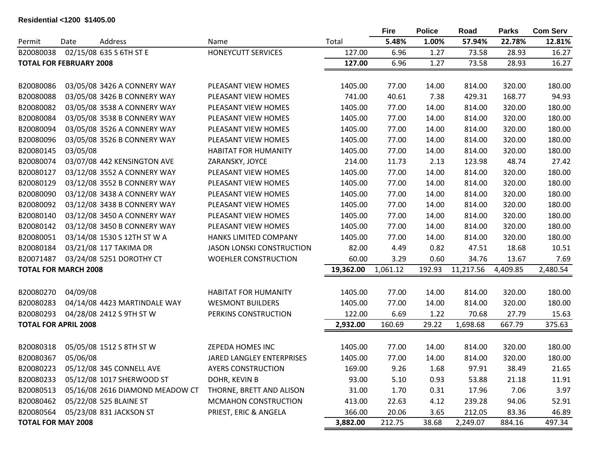#### **Residential <1200 \$1405.00**

|                                |          |                                 |                                  |           | <b>Fire</b> | <b>Police</b> | Road      | <b>Parks</b> | <b>Com Serv</b> |
|--------------------------------|----------|---------------------------------|----------------------------------|-----------|-------------|---------------|-----------|--------------|-----------------|
| Permit                         | Date     | Address                         | Name                             | Total     | 5.48%       | 1.00%         | 57.94%    | 22.78%       | 12.81%          |
| B20080038                      |          | 02/15/08 635 S 6TH ST E         | <b>HONEYCUTT SERVICES</b>        | 127.00    | 6.96        | 1.27          | 73.58     | 28.93        | 16.27           |
| <b>TOTAL FOR FEBRUARY 2008</b> |          |                                 |                                  | 127.00    | 6.96        | 1.27          | 73.58     | 28.93        | 16.27           |
|                                |          |                                 |                                  |           |             |               |           |              |                 |
| B20080086                      |          | 03/05/08 3426 A CONNERY WAY     | PLEASANT VIEW HOMES              | 1405.00   | 77.00       | 14.00         | 814.00    | 320.00       | 180.00          |
| B20080088                      |          | 03/05/08 3426 B CONNERY WAY     | PLEASANT VIEW HOMES              | 741.00    | 40.61       | 7.38          | 429.31    | 168.77       | 94.93           |
| B20080082                      |          | 03/05/08 3538 A CONNERY WAY     | PLEASANT VIEW HOMES              | 1405.00   | 77.00       | 14.00         | 814.00    | 320.00       | 180.00          |
| B20080084                      |          | 03/05/08 3538 B CONNERY WAY     | PLEASANT VIEW HOMES              | 1405.00   | 77.00       | 14.00         | 814.00    | 320.00       | 180.00          |
| B20080094                      |          | 03/05/08 3526 A CONNERY WAY     | PLEASANT VIEW HOMES              | 1405.00   | 77.00       | 14.00         | 814.00    | 320.00       | 180.00          |
| B20080096                      |          | 03/05/08 3526 B CONNERY WAY     | PLEASANT VIEW HOMES              | 1405.00   | 77.00       | 14.00         | 814.00    | 320.00       | 180.00          |
| B20080145                      | 03/05/08 |                                 | <b>HABITAT FOR HUMANITY</b>      | 1405.00   | 77.00       | 14.00         | 814.00    | 320.00       | 180.00          |
| B20080074                      |          | 03/07/08 442 KENSINGTON AVE     | ZARANSKY, JOYCE                  | 214.00    | 11.73       | 2.13          | 123.98    | 48.74        | 27.42           |
| B20080127                      |          | 03/12/08 3552 A CONNERY WAY     | PLEASANT VIEW HOMES              | 1405.00   | 77.00       | 14.00         | 814.00    | 320.00       | 180.00          |
| B20080129                      |          | 03/12/08 3552 B CONNERY WAY     | PLEASANT VIEW HOMES              | 1405.00   | 77.00       | 14.00         | 814.00    | 320.00       | 180.00          |
| B20080090                      |          | 03/12/08 3438 A CONNERY WAY     | PLEASANT VIEW HOMES              | 1405.00   | 77.00       | 14.00         | 814.00    | 320.00       | 180.00          |
| B20080092                      |          | 03/12/08 3438 B CONNERY WAY     | PLEASANT VIEW HOMES              | 1405.00   | 77.00       | 14.00         | 814.00    | 320.00       | 180.00          |
| B20080140                      |          | 03/12/08 3450 A CONNERY WAY     | PLEASANT VIEW HOMES              | 1405.00   | 77.00       | 14.00         | 814.00    | 320.00       | 180.00          |
| B20080142                      |          | 03/12/08 3450 B CONNERY WAY     | PLEASANT VIEW HOMES              | 1405.00   | 77.00       | 14.00         | 814.00    | 320.00       | 180.00          |
| B20080051                      |          | 03/14/08 1530 S 12TH ST W A     | HANKS LIMITED COMPANY            | 1405.00   | 77.00       | 14.00         | 814.00    | 320.00       | 180.00          |
| B20080184                      |          | 03/21/08 117 TAKIMA DR          | <b>JASON LONSKI CONSTRUCTION</b> | 82.00     | 4.49        | 0.82          | 47.51     | 18.68        | 10.51           |
| B20071487                      |          | 03/24/08 5251 DOROTHY CT        | <b>WOEHLER CONSTRUCTION</b>      | 60.00     | 3.29        | 0.60          | 34.76     | 13.67        | 7.69            |
| <b>TOTAL FOR MARCH 2008</b>    |          |                                 |                                  | 19,362.00 | 1,061.12    | 192.93        | 11,217.56 | 4,409.85     | 2,480.54        |
| B20080270                      | 04/09/08 |                                 | <b>HABITAT FOR HUMANITY</b>      | 1405.00   | 77.00       | 14.00         | 814.00    | 320.00       | 180.00          |
| B20080283                      |          | 04/14/08 4423 MARTINDALE WAY    | <b>WESMONT BUILDERS</b>          | 1405.00   | 77.00       | 14.00         | 814.00    | 320.00       | 180.00          |
| B20080293                      |          | 04/28/08 2412 S 9TH ST W        | PERKINS CONSTRUCTION             | 122.00    | 6.69        | 1.22          | 70.68     | 27.79        | 15.63           |
| <b>TOTAL FOR APRIL 2008</b>    |          |                                 |                                  | 2,932.00  | 160.69      | 29.22         | 1,698.68  | 667.79       | 375.63          |
|                                |          |                                 |                                  |           |             |               |           |              |                 |
| B20080318                      |          | 05/05/08 1512 S 8TH ST W        | ZEPEDA HOMES INC                 | 1405.00   | 77.00       | 14.00         | 814.00    | 320.00       | 180.00          |
| B20080367                      | 05/06/08 |                                 | JARED LANGLEY ENTERPRISES        | 1405.00   | 77.00       | 14.00         | 814.00    | 320.00       | 180.00          |
| B20080223                      |          | 05/12/08 345 CONNELL AVE        | <b>AYERS CONSTRUCTION</b>        | 169.00    | 9.26        | 1.68          | 97.91     | 38.49        | 21.65           |
| B20080233                      |          | 05/12/08 1017 SHERWOOD ST       | DOHR, KEVIN B                    | 93.00     | 5.10        | 0.93          | 53.88     | 21.18        | 11.91           |
| B20080513                      |          | 05/16/08 2616 DIAMOND MEADOW CT | THORNE, BRETT AND ALISON         | 31.00     | 1.70        | 0.31          | 17.96     | 7.06         | 3.97            |
| B20080462                      |          | 05/22/08 525 BLAINE ST          | MCMAHON CONSTRUCTION             | 413.00    | 22.63       | 4.12          | 239.28    | 94.06        | 52.91           |
| B20080564                      |          | 05/23/08 831 JACKSON ST         | PRIEST, ERIC & ANGELA            | 366.00    | 20.06       | 3.65          | 212.05    | 83.36        | 46.89           |
| <b>TOTAL FOR MAY 2008</b>      |          |                                 |                                  | 3,882.00  | 212.75      | 38.68         | 2,249.07  | 884.16       | 497.34          |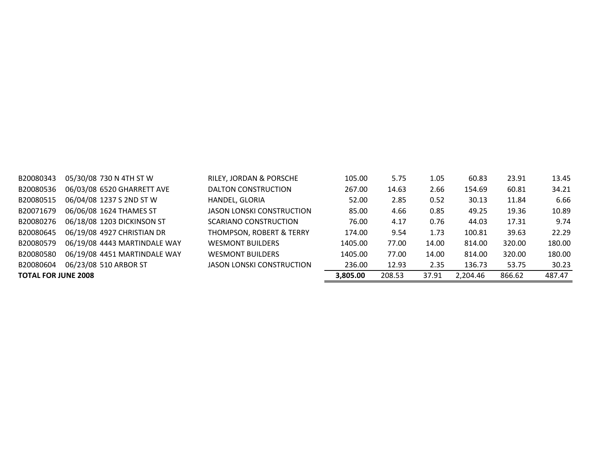| B20080343                  | 05/30/08 730 N 4TH ST W      | RILEY, JORDAN & PORSCHE             | 105.00   | 5.75   | 1.05  | 60.83    | 23.91  | 13.45  |
|----------------------------|------------------------------|-------------------------------------|----------|--------|-------|----------|--------|--------|
| B20080536                  | 06/03/08 6520 GHARRETT AVE   | DALTON CONSTRUCTION                 | 267.00   | 14.63  | 2.66  | 154.69   | 60.81  | 34.21  |
| B20080515                  | 06/04/08 1237 S 2ND ST W     | HANDEL, GLORIA                      | 52.00    | 2.85   | 0.52  | 30.13    | 11.84  | 6.66   |
| B20071679                  | 06/06/08 1624 THAMES ST      | JASON LONSKI CONSTRUCTION           | 85.00    | 4.66   | 0.85  | 49.25    | 19.36  | 10.89  |
| B20080276                  | 06/18/08 1203 DICKINSON ST   | SCARIANO CONSTRUCTION               | 76.00    | 4.17   | 0.76  | 44.03    | 17.31  | 9.74   |
| B20080645                  | 06/19/08 4927 CHRISTIAN DR   | <b>THOMPSON, ROBERT &amp; TERRY</b> | 174.00   | 9.54   | 1.73  | 100.81   | 39.63  | 22.29  |
| B20080579                  | 06/19/08 4443 MARTINDALE WAY | <b>WESMONT BUILDERS</b>             | 1405.00  | 77.00  | 14.00 | 814.00   | 320.00 | 180.00 |
| B20080580                  | 06/19/08 4451 MARTINDALE WAY | <b>WESMONT BUILDERS</b>             | 1405.00  | 77.00  | 14.00 | 814.00   | 320.00 | 180.00 |
| B20080604                  | 06/23/08 510 ARBOR ST        | <b>JASON LONSKI CONSTRUCTION</b>    | 236.00   | 12.93  | 2.35  | 136.73   | 53.75  | 30.23  |
| <b>TOTAL FOR JUNE 2008</b> |                              |                                     | 3,805.00 | 208.53 | 37.91 | 2,204.46 | 866.62 | 487.47 |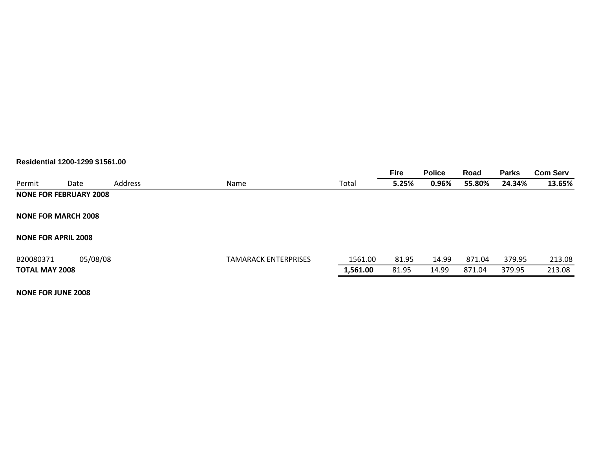#### **Residential 1200-1299 \$1561.00**

|                               |          |         |                             |          | <b>Fire</b> | <b>Police</b> | Road   | <b>Parks</b> | <b>Com Serv</b> |
|-------------------------------|----------|---------|-----------------------------|----------|-------------|---------------|--------|--------------|-----------------|
| Permit                        | Date     | Address | Name                        | Total    | 5.25%       | 0.96%         | 55.80% | 24.34%       | 13.65%          |
| <b>NONE FOR FEBRUARY 2008</b> |          |         |                             |          |             |               |        |              |                 |
| <b>NONE FOR MARCH 2008</b>    |          |         |                             |          |             |               |        |              |                 |
| <b>NONE FOR APRIL 2008</b>    |          |         |                             |          |             |               |        |              |                 |
|                               |          |         |                             |          |             |               |        |              |                 |
| B20080371                     | 05/08/08 |         | <b>TAMARACK ENTERPRISES</b> | 1561.00  | 81.95       | 14.99         | 871.04 | 379.95       | 213.08          |
| <b>TOTAL MAY 2008</b>         |          |         |                             | 1,561.00 | 81.95       | 14.99         | 871.04 | 379.95       | 213.08          |
|                               |          |         |                             |          |             |               |        |              |                 |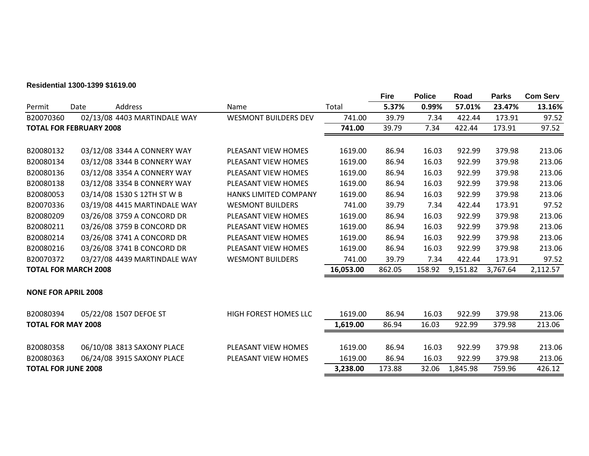#### **Residential 1300-1399 \$1619.00**

|           |                                |                              |                              |           | <b>Fire</b> | <b>Police</b> | Road     | <b>Parks</b> | <b>Com Serv</b> |
|-----------|--------------------------------|------------------------------|------------------------------|-----------|-------------|---------------|----------|--------------|-----------------|
| Permit    | Date                           | Address                      | Name                         | Total     | 5.37%       | 0.99%         | 57.01%   | 23.47%       | 13.16%          |
| B20070360 |                                | 02/13/08 4403 MARTINDALE WAY | <b>WESMONT BUILDERS DEV</b>  | 741.00    | 39.79       | 7.34          | 422.44   | 173.91       | 97.52           |
|           | <b>TOTAL FOR FEBRUARY 2008</b> |                              |                              | 741.00    | 39.79       | 7.34          | 422.44   | 173.91       | 97.52           |
|           |                                |                              |                              |           |             |               |          |              |                 |
| B20080132 |                                | 03/12/08 3344 A CONNERY WAY  | PLEASANT VIEW HOMES          | 1619.00   | 86.94       | 16.03         | 922.99   | 379.98       | 213.06          |
| B20080134 |                                | 03/12/08 3344 B CONNERY WAY  | PLEASANT VIEW HOMES          | 1619.00   | 86.94       | 16.03         | 922.99   | 379.98       | 213.06          |
| B20080136 |                                | 03/12/08 3354 A CONNERY WAY  | PLEASANT VIEW HOMES          | 1619.00   | 86.94       | 16.03         | 922.99   | 379.98       | 213.06          |
| B20080138 |                                | 03/12/08 3354 B CONNERY WAY  | PLEASANT VIEW HOMES          | 1619.00   | 86.94       | 16.03         | 922.99   | 379.98       | 213.06          |
| B20080053 |                                | 03/14/08 1530 S 12TH ST W B  | <b>HANKS LIMITED COMPANY</b> | 1619.00   | 86.94       | 16.03         | 922.99   | 379.98       | 213.06          |
| B20070336 |                                | 03/19/08 4415 MARTINDALE WAY | <b>WESMONT BUILDERS</b>      | 741.00    | 39.79       | 7.34          | 422.44   | 173.91       | 97.52           |
| B20080209 |                                | 03/26/08 3759 A CONCORD DR   | PLEASANT VIEW HOMES          | 1619.00   | 86.94       | 16.03         | 922.99   | 379.98       | 213.06          |
| B20080211 |                                | 03/26/08 3759 B CONCORD DR   | PLEASANT VIEW HOMES          | 1619.00   | 86.94       | 16.03         | 922.99   | 379.98       | 213.06          |
| B20080214 |                                | 03/26/08 3741 A CONCORD DR   | PLEASANT VIEW HOMES          | 1619.00   | 86.94       | 16.03         | 922.99   | 379.98       | 213.06          |
| B20080216 |                                | 03/26/08 3741 B CONCORD DR   | PLEASANT VIEW HOMES          | 1619.00   | 86.94       | 16.03         | 922.99   | 379.98       | 213.06          |
| B20070372 |                                | 03/27/08 4439 MARTINDALE WAY | <b>WESMONT BUILDERS</b>      | 741.00    | 39.79       | 7.34          | 422.44   | 173.91       | 97.52           |
|           | <b>TOTAL FOR MARCH 2008</b>    |                              |                              | 16,053.00 | 862.05      | 158.92        | 9,151.82 | 3,767.64     | 2,112.57        |
|           | <b>NONE FOR APRIL 2008</b>     |                              |                              |           |             |               |          |              |                 |
| B20080394 |                                | 05/22/08 1507 DEFOE ST       | HIGH FOREST HOMES LLC        | 1619.00   | 86.94       | 16.03         | 922.99   | 379.98       | 213.06          |
|           | <b>TOTAL FOR MAY 2008</b>      |                              |                              | 1,619.00  | 86.94       | 16.03         | 922.99   | 379.98       | 213.06          |
| B20080358 |                                | 06/10/08 3813 SAXONY PLACE   | PLEASANT VIEW HOMES          | 1619.00   | 86.94       | 16.03         | 922.99   | 379.98       | 213.06          |
| B20080363 |                                | 06/24/08 3915 SAXONY PLACE   | PLEASANT VIEW HOMES          | 1619.00   | 86.94       | 16.03         | 922.99   | 379.98       | 213.06          |
|           | <b>TOTAL FOR JUNE 2008</b>     |                              |                              | 3,238.00  | 173.88      | 32.06         | 1,845.98 | 759.96       | 426.12          |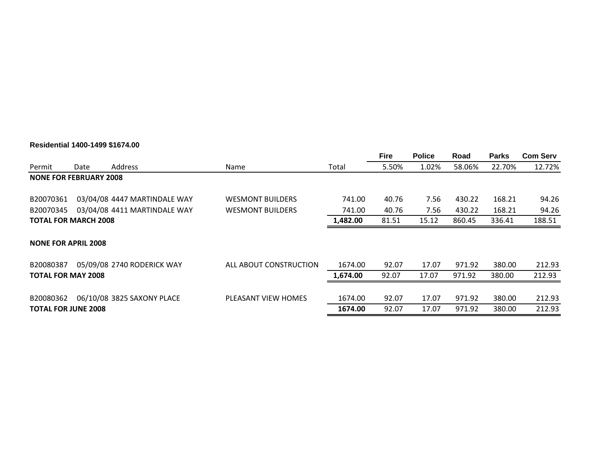### **Residential 1400-1499 \$1674.00**

|                               |                             |                              |                         |          | <b>Fire</b> | <b>Police</b> | Road   | <b>Parks</b> | <b>Com Serv</b> |
|-------------------------------|-----------------------------|------------------------------|-------------------------|----------|-------------|---------------|--------|--------------|-----------------|
| Permit                        | Date                        | <b>Address</b>               | Name                    | Total    | 5.50%       | 1.02%         | 58.06% | 22.70%       | 12.72%          |
| <b>NONE FOR FEBRUARY 2008</b> |                             |                              |                         |          |             |               |        |              |                 |
| B20070361                     |                             | 03/04/08 4447 MARTINDALE WAY | <b>WESMONT BUILDERS</b> | 741.00   | 40.76       | 7.56          | 430.22 | 168.21       | 94.26           |
| B20070345                     |                             | 03/04/08 4411 MARTINDALE WAY | <b>WESMONT BUILDERS</b> | 741.00   | 40.76       | 7.56          | 430.22 | 168.21       | 94.26           |
|                               | <b>TOTAL FOR MARCH 2008</b> |                              |                         |          | 81.51       | 15.12         | 860.45 | 336.41       | 188.51          |
| <b>NONE FOR APRIL 2008</b>    |                             |                              |                         |          |             |               |        |              |                 |
| B20080387                     |                             | 05/09/08 2740 RODERICK WAY   | ALL ABOUT CONSTRUCTION  | 1674.00  | 92.07       | 17.07         | 971.92 | 380.00       | 212.93          |
| <b>TOTAL FOR MAY 2008</b>     |                             |                              |                         | 1,674.00 | 92.07       | 17.07         | 971.92 | 380.00       | 212.93          |
| B20080362                     |                             | 06/10/08 3825 SAXONY PLACE   | PLEASANT VIEW HOMES     | 1674.00  | 92.07       | 17.07         | 971.92 | 380.00       | 212.93          |
| <b>TOTAL FOR JUNE 2008</b>    |                             |                              |                         | 1674.00  | 92.07       | 17.07         | 971.92 | 380.00       | 212.93          |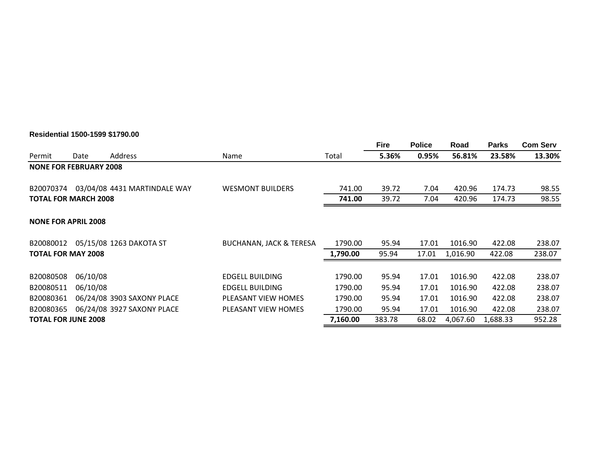#### **Residential 1500-1599 \$1790.00**

|                               |          |                              |                                    |          | <b>Fire</b> | <b>Police</b> | Road     | <b>Parks</b> | <b>Com Serv</b> |
|-------------------------------|----------|------------------------------|------------------------------------|----------|-------------|---------------|----------|--------------|-----------------|
| Permit                        | Date     | Address                      | Name                               | Total    | 5.36%       | 0.95%         | 56.81%   | 23.58%       | 13.30%          |
| <b>NONE FOR FEBRUARY 2008</b> |          |                              |                                    |          |             |               |          |              |                 |
| B20070374                     |          | 03/04/08 4431 MARTINDALE WAY | <b>WESMONT BUILDERS</b>            | 741.00   | 39.72       | 7.04          | 420.96   | 174.73       | 98.55           |
| <b>TOTAL FOR MARCH 2008</b>   |          |                              |                                    | 741.00   | 39.72       | 7.04          | 420.96   | 174.73       | 98.55           |
| <b>NONE FOR APRIL 2008</b>    |          |                              |                                    |          |             |               |          |              |                 |
| B20080012                     |          | 05/15/08 1263 DAKOTA ST      | <b>BUCHANAN, JACK &amp; TERESA</b> | 1790.00  | 95.94       | 17.01         | 1016.90  | 422.08       | 238.07          |
| <b>TOTAL FOR MAY 2008</b>     |          |                              |                                    | 1,790.00 | 95.94       | 17.01         | 1,016.90 | 422.08       | 238.07          |
| B20080508                     | 06/10/08 |                              | <b>EDGELL BUILDING</b>             | 1790.00  | 95.94       | 17.01         | 1016.90  | 422.08       | 238.07          |
| B20080511                     | 06/10/08 |                              | <b>EDGELL BUILDING</b>             | 1790.00  | 95.94       | 17.01         | 1016.90  | 422.08       | 238.07          |
| B20080361                     |          | 06/24/08 3903 SAXONY PLACE   | PLEASANT VIEW HOMES                | 1790.00  | 95.94       | 17.01         | 1016.90  | 422.08       | 238.07          |
| B20080365                     |          | 06/24/08 3927 SAXONY PLACE   | PLEASANT VIEW HOMES                | 1790.00  | 95.94       | 17.01         | 1016.90  | 422.08       | 238.07          |
| <b>TOTAL FOR JUNE 2008</b>    |          |                              |                                    | 7,160.00 | 383.78      | 68.02         | 4,067.60 | 1,688.33     | 952.28          |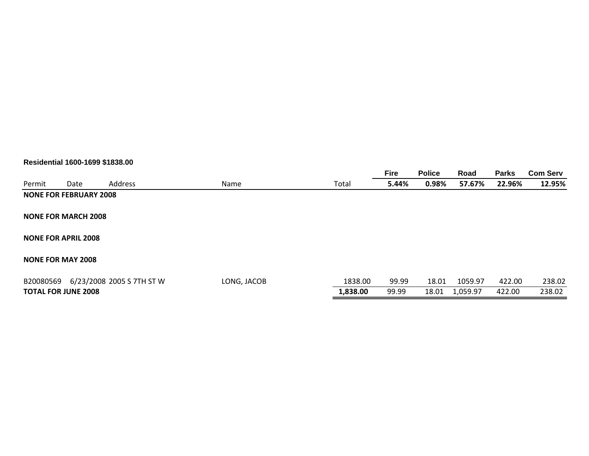#### **Residential 1600-1699 \$1838.00**

|                          |                               |                           |             |          | <b>Fire</b> | <b>Police</b> | Road     | <b>Parks</b> | <b>Com Serv</b> |
|--------------------------|-------------------------------|---------------------------|-------------|----------|-------------|---------------|----------|--------------|-----------------|
| Permit                   | Date                          | Address                   | <b>Name</b> | Total    | 5.44%       | 0.98%         | 57.67%   | 22.96%       | 12.95%          |
|                          | <b>NONE FOR FEBRUARY 2008</b> |                           |             |          |             |               |          |              |                 |
|                          | <b>NONE FOR MARCH 2008</b>    |                           |             |          |             |               |          |              |                 |
|                          | <b>NONE FOR APRIL 2008</b>    |                           |             |          |             |               |          |              |                 |
| <b>NONE FOR MAY 2008</b> |                               |                           |             |          |             |               |          |              |                 |
| B20080569                |                               | 6/23/2008 2005 S 7TH ST W | LONG, JACOB | 1838.00  | 99.99       | 18.01         | 1059.97  | 422.00       | 238.02          |
|                          | <b>TOTAL FOR JUNE 2008</b>    |                           |             | 1,838.00 | 99.99       | 18.01         | 1,059.97 | 422.00       | 238.02          |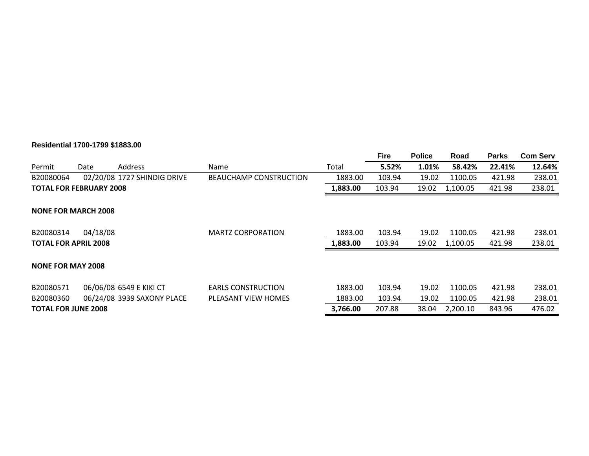#### **Residential 1700-1799 \$1883.00**

|                                |          |                             |                           |          | <b>Fire</b> | <b>Police</b> | Road     | <b>Parks</b> | <b>Com Serv</b> |
|--------------------------------|----------|-----------------------------|---------------------------|----------|-------------|---------------|----------|--------------|-----------------|
| Permit                         | Date     | <b>Address</b>              | Name                      | Total    | 5.52%       | 1.01%         | 58.42%   | 22.41%       | 12.64%          |
| B20080064                      |          | 02/20/08 1727 SHINDIG DRIVE | BEAUCHAMP CONSTRUCTION    | 1883.00  | 103.94      | 19.02         | 1100.05  | 421.98       | 238.01          |
| <b>TOTAL FOR FEBRUARY 2008</b> |          |                             |                           | 1,883.00 | 103.94      | 19.02         | 1,100.05 | 421.98       | 238.01          |
| <b>NONE FOR MARCH 2008</b>     |          |                             |                           |          |             |               |          |              |                 |
| B20080314                      | 04/18/08 |                             | <b>MARTZ CORPORATION</b>  | 1883.00  | 103.94      | 19.02         | 1100.05  | 421.98       | 238.01          |
| <b>TOTAL FOR APRIL 2008</b>    |          |                             |                           | 1,883.00 | 103.94      | 19.02         | 1,100.05 | 421.98       | 238.01          |
| <b>NONE FOR MAY 2008</b>       |          |                             |                           |          |             |               |          |              |                 |
| B20080571                      |          | 06/06/08 6549 E KIKI CT     | <b>EARLS CONSTRUCTION</b> | 1883.00  | 103.94      | 19.02         | 1100.05  | 421.98       | 238.01          |
| B20080360                      |          | 06/24/08 3939 SAXONY PLACE  | PLEASANT VIEW HOMES       | 1883.00  | 103.94      | 19.02         | 1100.05  | 421.98       | 238.01          |
| <b>TOTAL FOR JUNE 2008</b>     |          |                             |                           | 3,766.00 | 207.88      | 38.04         | 2,200.10 | 843.96       | 476.02          |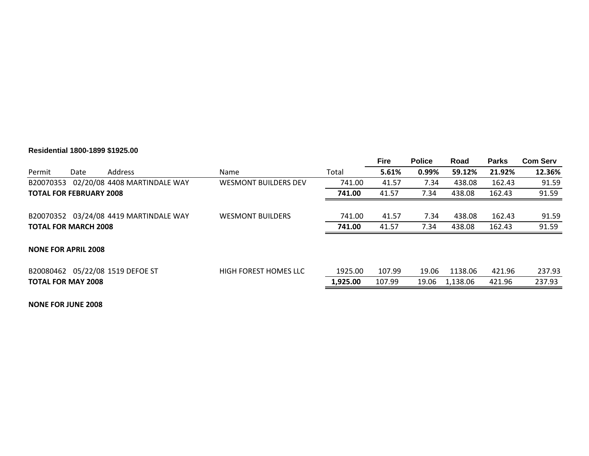#### **Residential 1800-1899 \$1925.00**

|                                |      |                                        |                              |          | <b>Fire</b> | <b>Police</b> | Road     | <b>Parks</b> | <b>Com Serv</b> |
|--------------------------------|------|----------------------------------------|------------------------------|----------|-------------|---------------|----------|--------------|-----------------|
| Permit                         | Date | <b>Address</b>                         | <b>Name</b>                  | Total    | 5.61%       | 0.99%         | 59.12%   | 21.92%       | 12.36%          |
| B20070353                      |      | 02/20/08 4408 MARTINDALE WAY           | <b>WESMONT BUILDERS DEV</b>  | 741.00   | 41.57       | 7.34          | 438.08   | 162.43       | 91.59           |
| <b>TOTAL FOR FEBRUARY 2008</b> |      |                                        |                              | 741.00   | 41.57       | 7.34          | 438.08   | 162.43       | 91.59           |
|                                |      | B20070352 03/24/08 4419 MARTINDALE WAY | <b>WESMONT BUILDERS</b>      | 741.00   | 41.57       | 7.34          | 438.08   | 162.43       | 91.59           |
| <b>TOTAL FOR MARCH 2008</b>    |      |                                        |                              | 741.00   | 41.57       | 7.34          | 438.08   | 162.43       | 91.59           |
|                                |      |                                        |                              |          |             |               |          |              |                 |
| <b>NONE FOR APRIL 2008</b>     |      |                                        |                              |          |             |               |          |              |                 |
|                                |      | B20080462 05/22/08 1519 DEFOE ST       | <b>HIGH FOREST HOMES LLC</b> | 1925.00  | 107.99      | 19.06         | 1138.06  | 421.96       | 237.93          |
| <b>TOTAL FOR MAY 2008</b>      |      |                                        |                              | 1,925.00 | 107.99      | 19.06         | 1,138.06 | 421.96       | 237.93          |
|                                |      |                                        |                              |          |             |               |          |              |                 |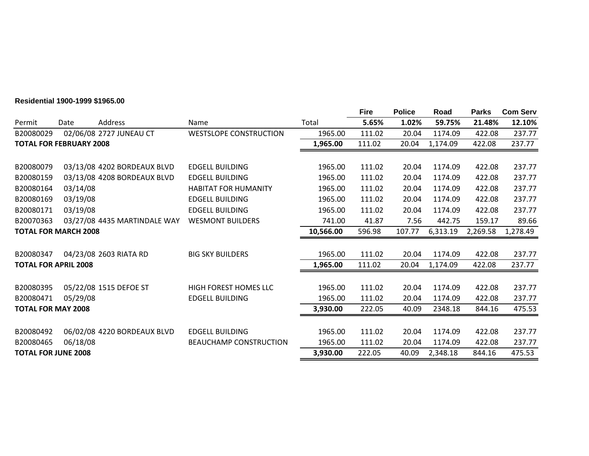#### **Residential 1900-1999 \$1965.00**

|                            |                                |                              |                               |           | <b>Fire</b> | <b>Police</b> | Road     | <b>Parks</b> | <b>Com Serv</b> |
|----------------------------|--------------------------------|------------------------------|-------------------------------|-----------|-------------|---------------|----------|--------------|-----------------|
| Permit                     | Date                           | Address                      | Name                          | Total     | 5.65%       | 1.02%         | 59.75%   | 21.48%       | 12.10%          |
| B20080029                  |                                | 02/06/08 2727 JUNEAU CT      | <b>WESTSLOPE CONSTRUCTION</b> | 1965.00   | 111.02      | 20.04         | 1174.09  | 422.08       | 237.77          |
|                            | <b>TOTAL FOR FEBRUARY 2008</b> |                              |                               | 1,965.00  | 111.02      | 20.04         | 1,174.09 | 422.08       | 237.77          |
|                            |                                |                              |                               |           |             |               |          |              |                 |
| B20080079                  |                                | 03/13/08 4202 BORDEAUX BLVD  | <b>EDGELL BUILDING</b>        | 1965.00   | 111.02      | 20.04         | 1174.09  | 422.08       | 237.77          |
| B20080159                  |                                | 03/13/08 4208 BORDEAUX BLVD  | <b>EDGELL BUILDING</b>        | 1965.00   | 111.02      | 20.04         | 1174.09  | 422.08       | 237.77          |
| B20080164                  | 03/14/08                       |                              | <b>HABITAT FOR HUMANITY</b>   | 1965.00   | 111.02      | 20.04         | 1174.09  | 422.08       | 237.77          |
| B20080169                  | 03/19/08                       |                              | <b>EDGELL BUILDING</b>        | 1965.00   | 111.02      | 20.04         | 1174.09  | 422.08       | 237.77          |
| B20080171                  | 03/19/08                       |                              | <b>EDGELL BUILDING</b>        | 1965.00   | 111.02      | 20.04         | 1174.09  | 422.08       | 237.77          |
| B20070363                  |                                | 03/27/08 4435 MARTINDALE WAY | <b>WESMONT BUILDERS</b>       | 741.00    | 41.87       | 7.56          | 442.75   | 159.17       | 89.66           |
|                            | <b>TOTAL FOR MARCH 2008</b>    |                              |                               | 10,566.00 | 596.98      | 107.77        | 6,313.19 | 2,269.58     | 1,278.49        |
| B20080347                  |                                | 04/23/08 2603 RIATA RD       | <b>BIG SKY BUILDERS</b>       | 1965.00   | 111.02      | 20.04         | 1174.09  | 422.08       | 237.77          |
|                            | <b>TOTAL FOR APRIL 2008</b>    |                              |                               | 1,965.00  | 111.02      | 20.04         | 1,174.09 | 422.08       | 237.77          |
|                            |                                |                              |                               |           |             |               |          |              |                 |
| B20080395                  |                                | 05/22/08 1515 DEFOE ST       | <b>HIGH FOREST HOMES LLC</b>  | 1965.00   | 111.02      | 20.04         | 1174.09  | 422.08       | 237.77          |
| B20080471                  | 05/29/08                       |                              | <b>EDGELL BUILDING</b>        | 1965.00   | 111.02      | 20.04         | 1174.09  | 422.08       | 237.77          |
| <b>TOTAL FOR MAY 2008</b>  |                                |                              |                               | 3,930.00  | 222.05      | 40.09         | 2348.18  | 844.16       | 475.53          |
| B20080492                  |                                | 06/02/08 4220 BORDEAUX BLVD  | <b>EDGELL BUILDING</b>        | 1965.00   | 111.02      | 20.04         | 1174.09  | 422.08       | 237.77          |
| B20080465                  | 06/18/08                       |                              | <b>BEAUCHAMP CONSTRUCTION</b> | 1965.00   | 111.02      | 20.04         | 1174.09  | 422.08       | 237.77          |
| <b>TOTAL FOR JUNE 2008</b> |                                |                              |                               | 3,930.00  | 222.05      | 40.09         | 2,348.18 | 844.16       | 475.53          |
|                            |                                |                              |                               |           |             |               |          |              |                 |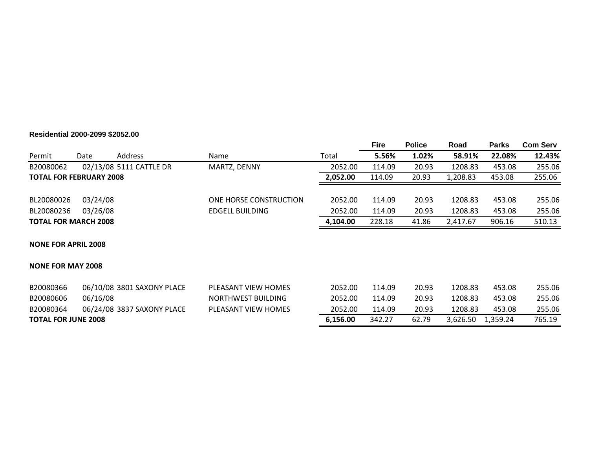#### **Residential 2000-2099 \$2052.00**

|                                |                             |                            |                           |          | <b>Fire</b> | <b>Police</b> | Road     | <b>Parks</b> | <b>Com Serv</b> |
|--------------------------------|-----------------------------|----------------------------|---------------------------|----------|-------------|---------------|----------|--------------|-----------------|
| Permit                         | Date                        | Address                    | Name                      | Total    | 5.56%       | 1.02%         | 58.91%   | 22.08%       | 12.43%          |
| B20080062                      |                             | 02/13/08 5111 CATTLE DR    | MARTZ, DENNY              | 2052.00  | 114.09      | 20.93         | 1208.83  | 453.08       | 255.06          |
| <b>TOTAL FOR FEBRUARY 2008</b> |                             |                            |                           | 2,052.00 | 114.09      | 20.93         | 1,208.83 | 453.08       | 255.06          |
| BL20080026                     | 03/24/08                    |                            | ONE HORSE CONSTRUCTION    | 2052.00  | 114.09      | 20.93         | 1208.83  | 453.08       | 255.06          |
| BL20080236                     | 03/26/08                    |                            | <b>EDGELL BUILDING</b>    | 2052.00  | 114.09      | 20.93         | 1208.83  | 453.08       | 255.06          |
|                                | <b>TOTAL FOR MARCH 2008</b> |                            |                           | 4,104.00 | 228.18      | 41.86         | 2,417.67 | 906.16       | 510.13          |
| <b>NONE FOR APRIL 2008</b>     |                             |                            |                           |          |             |               |          |              |                 |
| <b>NONE FOR MAY 2008</b>       |                             |                            |                           |          |             |               |          |              |                 |
| B20080366                      |                             | 06/10/08 3801 SAXONY PLACE | PLEASANT VIEW HOMES       | 2052.00  | 114.09      | 20.93         | 1208.83  | 453.08       | 255.06          |
| B20080606                      | 06/16/08                    |                            | <b>NORTHWEST BUILDING</b> | 2052.00  | 114.09      | 20.93         | 1208.83  | 453.08       | 255.06          |
| B20080364                      |                             | 06/24/08 3837 SAXONY PLACE | PLEASANT VIEW HOMES       | 2052.00  | 114.09      | 20.93         | 1208.83  | 453.08       | 255.06          |
| <b>TOTAL FOR JUNE 2008</b>     |                             |                            |                           | 6,156.00 | 342.27      | 62.79         | 3,626.50 | 1,359.24     | 765.19          |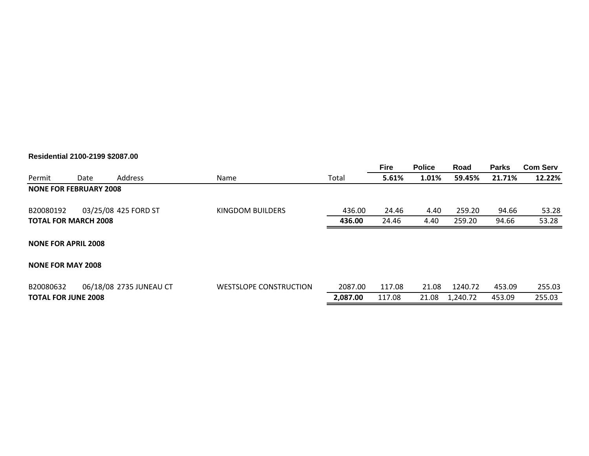#### **Residential 2100-2199 \$2087.00**

|                               |      |                         |                               |          | <b>Fire</b> | <b>Police</b> | Road     | <b>Parks</b> | <b>Com Serv</b> |
|-------------------------------|------|-------------------------|-------------------------------|----------|-------------|---------------|----------|--------------|-----------------|
| Permit                        | Date | Address                 | Name                          | Total    | 5.61%       | 1.01%         | 59.45%   | 21.71%       | 12.22%          |
| <b>NONE FOR FEBRUARY 2008</b> |      |                         |                               |          |             |               |          |              |                 |
| B20080192                     |      | 03/25/08 425 FORD ST    | KINGDOM BUILDERS              | 436.00   | 24.46       | 4.40          | 259.20   | 94.66        | 53.28           |
| <b>TOTAL FOR MARCH 2008</b>   |      |                         |                               | 436.00   | 24.46       | 4.40          | 259.20   | 94.66        | 53.28           |
| <b>NONE FOR APRIL 2008</b>    |      |                         |                               |          |             |               |          |              |                 |
| <b>NONE FOR MAY 2008</b>      |      |                         |                               |          |             |               |          |              |                 |
| B20080632                     |      | 06/18/08 2735 JUNEAU CT | <b>WESTSLOPE CONSTRUCTION</b> | 2087.00  | 117.08      | 21.08         | 1240.72  | 453.09       | 255.03          |
| <b>TOTAL FOR JUNE 2008</b>    |      |                         |                               | 2,087.00 | 117.08      | 21.08         | 1,240.72 | 453.09       | 255.03          |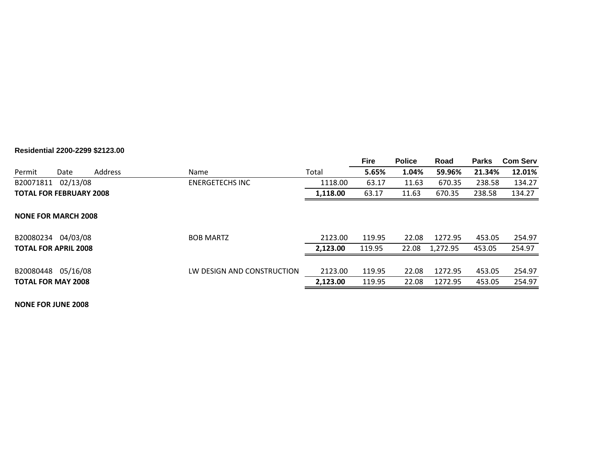#### **Residential 2200-2299 \$2123.00**

|           |                                |                |                            |          | <b>Fire</b> | <b>Police</b> | Road     | <b>Parks</b> | <b>Com Serv</b> |
|-----------|--------------------------------|----------------|----------------------------|----------|-------------|---------------|----------|--------------|-----------------|
| Permit    | Date                           | <b>Address</b> | Name                       | Total    | 5.65%       | 1.04%         | 59.96%   | 21.34%       | 12.01%          |
| B20071811 | 02/13/08                       |                | <b>ENERGETECHS INC</b>     | 1118.00  | 63.17       | 11.63         | 670.35   | 238.58       | 134.27          |
|           | <b>TOTAL FOR FEBRUARY 2008</b> |                |                            | 1,118.00 | 63.17       | 11.63         | 670.35   | 238.58       | 134.27          |
|           |                                |                |                            |          |             |               |          |              |                 |
|           | <b>NONE FOR MARCH 2008</b>     |                |                            |          |             |               |          |              |                 |
|           |                                |                |                            |          |             |               |          |              |                 |
| B20080234 | 04/03/08                       |                | <b>BOB MARTZ</b>           | 2123.00  | 119.95      | 22.08         | 1272.95  | 453.05       | 254.97          |
|           | <b>TOTAL FOR APRIL 2008</b>    |                |                            | 2,123.00 | 119.95      | 22.08         | 1,272.95 | 453.05       | 254.97          |
|           |                                |                |                            |          |             |               |          |              |                 |
| B20080448 | 05/16/08                       |                | LW DESIGN AND CONSTRUCTION | 2123.00  | 119.95      | 22.08         | 1272.95  | 453.05       | 254.97          |
|           | <b>TOTAL FOR MAY 2008</b>      |                |                            | 2,123.00 | 119.95      | 22.08         | 1272.95  | 453.05       | 254.97          |
|           |                                |                |                            |          |             |               |          |              |                 |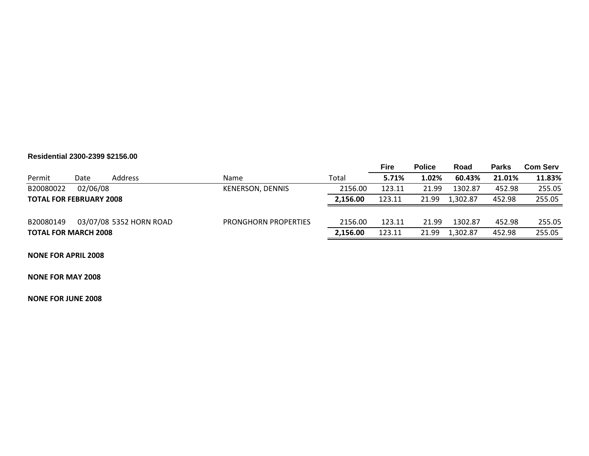#### **Residential 2300-2399 \$2156.00**

|                                |          |                         |                             |          | Fire   | <b>Police</b> | Road     | <b>Parks</b> | <b>Com Serv</b> |
|--------------------------------|----------|-------------------------|-----------------------------|----------|--------|---------------|----------|--------------|-----------------|
| Permit                         | Date     | Address                 | Name                        | Total    | 5.71%  | 1.02%         | 60.43%   | 21.01%       | 11.83%          |
| B20080022                      | 02/06/08 |                         | KENERSON, DENNIS            | 2156.00  | 123.11 | 21.99         | 1302.87  | 452.98       | 255.05          |
| <b>TOTAL FOR FEBRUARY 2008</b> |          |                         |                             | 2.156.00 | 123.11 | 21.99         | 1.302.87 | 452.98       | 255.05          |
|                                |          |                         |                             |          |        |               |          |              |                 |
| B20080149                      |          | 03/07/08 5352 HORN ROAD | <b>PRONGHORN PROPERTIES</b> | 2156.00  | 123.11 | 21.99         | 1302.87  | 452.98       | 255.05          |
| <b>TOTAL FOR MARCH 2008</b>    |          |                         |                             | 2.156.00 | 123.11 | 21.99         | 1.302.87 | 452.98       | 255.05          |

**NONE FOR APRIL 2008**

**NONE FOR MAY 2008**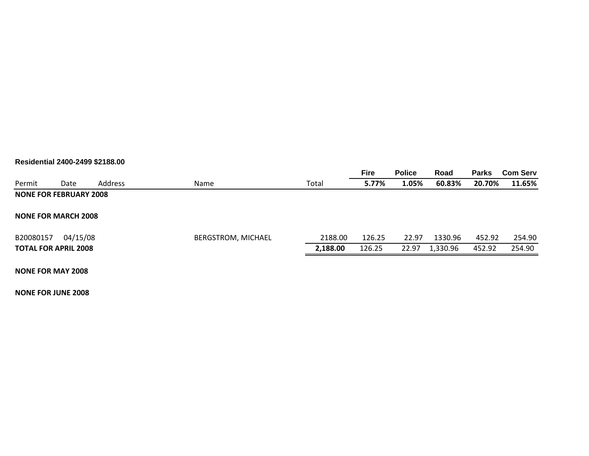#### **Residential 2400-2499 \$2188.00**

|                               |          |         |                    |          | <b>Fire</b> | <b>Police</b> | Road     | <b>Parks</b> | <b>Com Serv</b> |
|-------------------------------|----------|---------|--------------------|----------|-------------|---------------|----------|--------------|-----------------|
| Permit                        | Date     | Address | <b>Name</b>        | Total    | 5.77%       | 1.05%         | 60.83%   | 20.70%       | 11.65%          |
| <b>NONE FOR FEBRUARY 2008</b> |          |         |                    |          |             |               |          |              |                 |
| <b>NONE FOR MARCH 2008</b>    |          |         |                    |          |             |               |          |              |                 |
| B20080157                     | 04/15/08 |         | BERGSTROM, MICHAEL | 2188.00  | 126.25      | 22.97         | 1330.96  | 452.92       | 254.90          |
| <b>TOTAL FOR APRIL 2008</b>   |          |         |                    | 2,188.00 | 126.25      | 22.97         | 1,330.96 | 452.92       | 254.90          |
|                               |          |         |                    |          |             |               |          |              |                 |

**NONE FOR MAY 2008**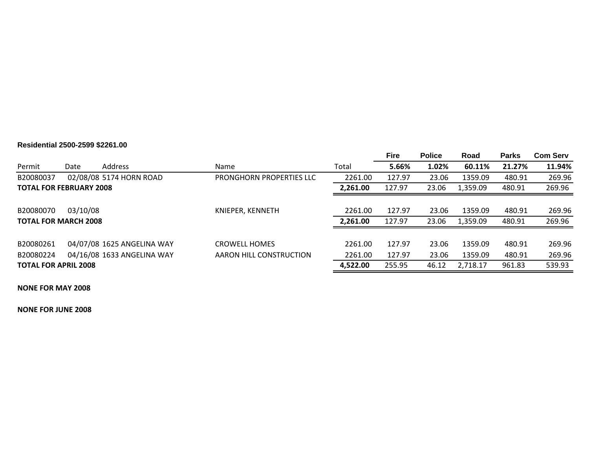# **Residential 2500-2599 \$2261.00**

|                                |          |                            |                          |          | <b>Fire</b> | <b>Police</b> | Road     | <b>Parks</b> | <b>Com Serv</b> |
|--------------------------------|----------|----------------------------|--------------------------|----------|-------------|---------------|----------|--------------|-----------------|
| Permit                         | Date     | Address                    | Name                     | Total    | 5.66%       | 1.02%         | 60.11%   | 21.27%       | 11.94%          |
| B20080037                      |          | 02/08/08 5174 HORN ROAD    | PRONGHORN PROPERTIES LLC | 2261.00  | 127.97      | 23.06         | 1359.09  | 480.91       | 269.96          |
| <b>TOTAL FOR FEBRUARY 2008</b> |          |                            |                          | 2,261.00 | 127.97      | 23.06         | 1,359.09 | 480.91       | 269.96          |
|                                |          |                            |                          |          |             |               |          |              |                 |
| B20080070                      | 03/10/08 |                            | KNIEPER, KENNETH         | 2261.00  | 127.97      | 23.06         | 1359.09  | 480.91       | 269.96          |
| <b>TOTAL FOR MARCH 2008</b>    |          |                            |                          | 2,261.00 | 127.97      | 23.06         | 1,359.09 | 480.91       | 269.96          |
|                                |          |                            |                          |          |             |               |          |              |                 |
| B20080261                      |          | 04/07/08 1625 ANGELINA WAY | <b>CROWELL HOMES</b>     | 2261.00  | 127.97      | 23.06         | 1359.09  | 480.91       | 269.96          |
| B20080224                      |          | 04/16/08 1633 ANGELINA WAY | AARON HILL CONSTRUCTION  | 2261.00  | 127.97      | 23.06         | 1359.09  | 480.91       | 269.96          |
| <b>TOTAL FOR APRIL 2008</b>    |          |                            |                          | 4,522.00 | 255.95      | 46.12         | 2,718.17 | 961.83       | 539.93          |

**NONE FOR MAY 2008**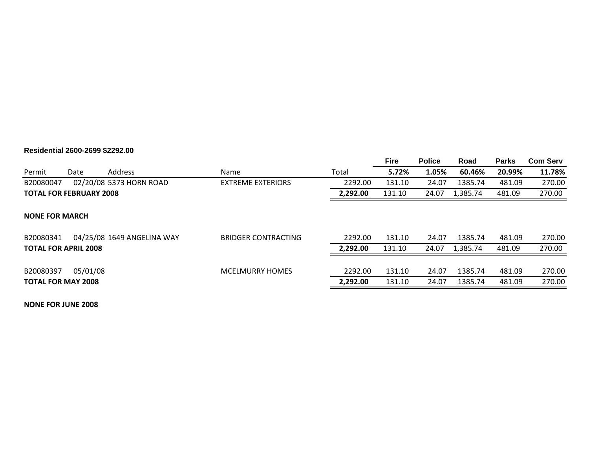#### **Residential 2600-2699 \$2292.00**

|                                |          |                            |                            |          | <b>Fire</b> | <b>Police</b> | Road     | <b>Parks</b> | <b>Com Serv</b> |
|--------------------------------|----------|----------------------------|----------------------------|----------|-------------|---------------|----------|--------------|-----------------|
| Permit                         | Date     | Address                    | Name                       | Total    | 5.72%       | 1.05%         | 60.46%   | 20.99%       | 11.78%          |
| B20080047                      |          | 02/20/08 5373 HORN ROAD    | <b>EXTREME EXTERIORS</b>   | 2292.00  | 131.10      | 24.07         | 1385.74  | 481.09       | 270.00          |
| <b>TOTAL FOR FEBRUARY 2008</b> |          |                            |                            | 2,292.00 | 131.10      | 24.07         | 1,385.74 | 481.09       | 270.00          |
| <b>NONE FOR MARCH</b>          |          |                            |                            |          |             |               |          |              |                 |
| B20080341                      |          | 04/25/08 1649 ANGELINA WAY | <b>BRIDGER CONTRACTING</b> | 2292.00  | 131.10      | 24.07         | 1385.74  | 481.09       | 270.00          |
| <b>TOTAL FOR APRIL 2008</b>    |          |                            |                            | 2,292.00 | 131.10      | 24.07         | 1,385.74 | 481.09       | 270.00          |
| B20080397                      | 05/01/08 |                            | <b>MCELMURRY HOMES</b>     | 2292.00  | 131.10      | 24.07         | 1385.74  | 481.09       | 270.00          |
| <b>TOTAL FOR MAY 2008</b>      |          |                            |                            | 2,292.00 | 131.10      | 24.07         | 1385.74  | 481.09       | 270.00          |
|                                |          |                            |                            |          |             |               |          |              |                 |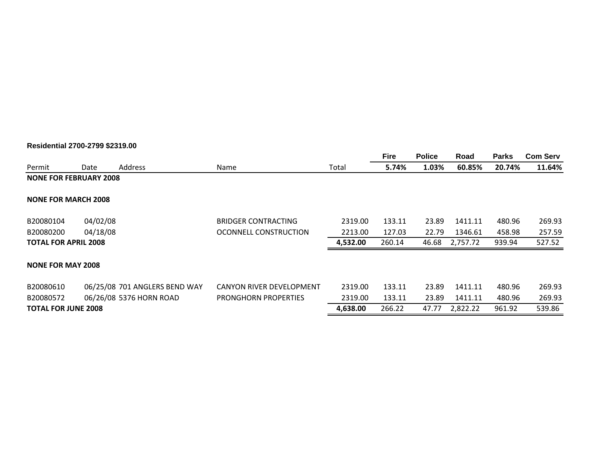#### **Residential 2700-2799 \$2319.00**

|                               |          |                               |                             |          | <b>Fire</b> | <b>Police</b> | Road     | <b>Parks</b> | <b>Com Serv</b> |
|-------------------------------|----------|-------------------------------|-----------------------------|----------|-------------|---------------|----------|--------------|-----------------|
| Permit                        | Date     | Address                       | Name                        | Total    | 5.74%       | 1.03%         | 60.85%   | 20.74%       | 11.64%          |
| <b>NONE FOR FEBRUARY 2008</b> |          |                               |                             |          |             |               |          |              |                 |
| <b>NONE FOR MARCH 2008</b>    |          |                               |                             |          |             |               |          |              |                 |
| B20080104                     | 04/02/08 |                               | <b>BRIDGER CONTRACTING</b>  | 2319.00  | 133.11      | 23.89         | 1411.11  | 480.96       | 269.93          |
| B20080200                     | 04/18/08 |                               | OCONNELL CONSTRUCTION       | 2213.00  | 127.03      | 22.79         | 1346.61  | 458.98       | 257.59          |
| <b>TOTAL FOR APRIL 2008</b>   |          |                               |                             | 4,532.00 | 260.14      | 46.68         | 2,757.72 | 939.94       | 527.52          |
| <b>NONE FOR MAY 2008</b>      |          |                               |                             |          |             |               |          |              |                 |
| B20080610                     |          | 06/25/08 701 ANGLERS BEND WAY | CANYON RIVER DEVELOPMENT    | 2319.00  | 133.11      | 23.89         | 1411.11  | 480.96       | 269.93          |
| B20080572                     |          | 06/26/08 5376 HORN ROAD       | <b>PRONGHORN PROPERTIES</b> | 2319.00  | 133.11      | 23.89         | 1411.11  | 480.96       | 269.93          |
| <b>TOTAL FOR JUNE 2008</b>    |          |                               |                             | 4,638.00 | 266.22      | 47.77         | 2,822.22 | 961.92       | 539.86          |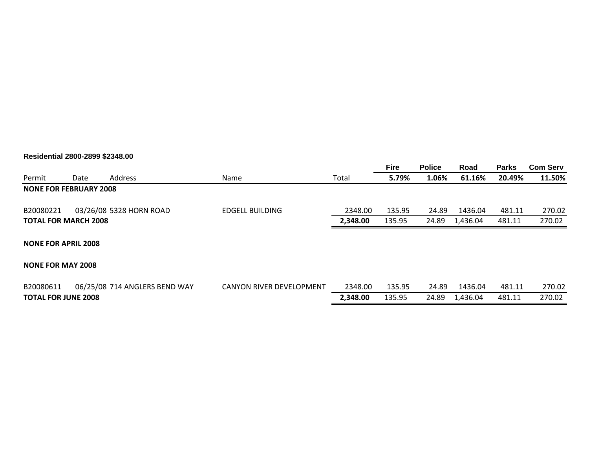#### **Residential 2800-2899 \$2348.00**

|                               |      |                               |                                 |          | <b>Fire</b> | <b>Police</b> | Road     | <b>Parks</b> | <b>Com Serv</b> |
|-------------------------------|------|-------------------------------|---------------------------------|----------|-------------|---------------|----------|--------------|-----------------|
| Permit                        | Date | <b>Address</b>                | Name                            | Total    | 5.79%       | 1.06%         | 61.16%   | 20.49%       | 11.50%          |
| <b>NONE FOR FEBRUARY 2008</b> |      |                               |                                 |          |             |               |          |              |                 |
| B20080221                     |      | 03/26/08 5328 HORN ROAD       | <b>EDGELL BUILDING</b>          | 2348.00  | 135.95      | 24.89         | 1436.04  | 481.11       | 270.02          |
| <b>TOTAL FOR MARCH 2008</b>   |      |                               |                                 | 2,348.00 | 135.95      | 24.89         | 1,436.04 | 481.11       | 270.02          |
| <b>NONE FOR APRIL 2008</b>    |      |                               |                                 |          |             |               |          |              |                 |
| <b>NONE FOR MAY 2008</b>      |      |                               |                                 |          |             |               |          |              |                 |
| B20080611                     |      | 06/25/08 714 ANGLERS BEND WAY | <b>CANYON RIVER DEVELOPMENT</b> | 2348.00  | 135.95      | 24.89         | 1436.04  | 481.11       | 270.02          |
| <b>TOTAL FOR JUNE 2008</b>    |      |                               |                                 | 2,348.00 | 135.95      | 24.89         | 1,436.04 | 481.11       | 270.02          |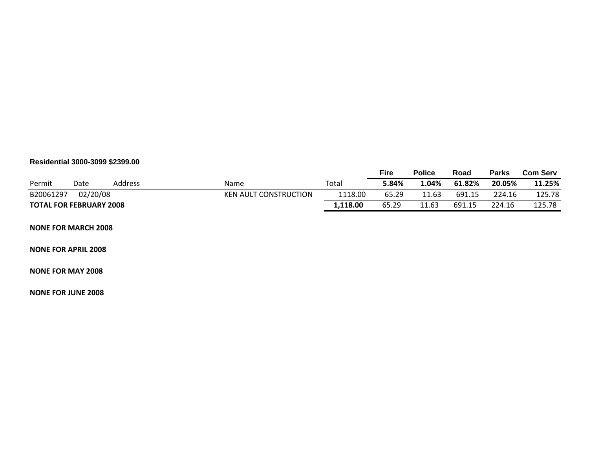#### **Residential 3000-3099 \$2399.00**

|                                |          |         |                              |          | <b>Fire</b> | <b>Police</b> | Road   | <b>Parks</b> | <b>Com Serv</b> |
|--------------------------------|----------|---------|------------------------------|----------|-------------|---------------|--------|--------------|-----------------|
| Permit                         | Date     | Address | Name                         | Total    | 5.84%       | 04%.          | 61.82% | 20.05%       | 11.25%          |
| B20061297                      | 02/20/08 |         | <b>KEN AULT CONSTRUCTION</b> | 1118.00  | 65.29       | 11.63         | 691.15 | 224.16       | 125.78          |
| <b>TOTAL FOR FEBRUARY 2008</b> |          |         |                              | 1,118.00 | 65.29       | 11.63         | 691.15 | 224.16       | 125.78          |

#### **NONE FOR MARCH 2008**

#### **NONE FOR APRIL 2008**

#### **NONE FOR MAY 2008**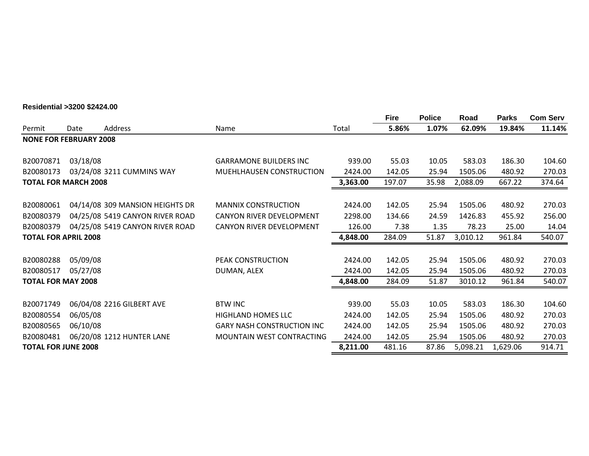### **Residential >3200 \$2424.00**

|                               |          |                                 |                                   |          | <b>Fire</b> | <b>Police</b> | Road     | <b>Parks</b> | <b>Com Serv</b> |
|-------------------------------|----------|---------------------------------|-----------------------------------|----------|-------------|---------------|----------|--------------|-----------------|
| Permit                        | Date     | Address                         | Name                              | Total    | 5.86%       | 1.07%         | 62.09%   | 19.84%       | 11.14%          |
| <b>NONE FOR FEBRUARY 2008</b> |          |                                 |                                   |          |             |               |          |              |                 |
| B20070871                     | 03/18/08 |                                 | <b>GARRAMONE BUILDERS INC</b>     | 939.00   | 55.03       | 10.05         | 583.03   | 186.30       | 104.60          |
| B20080173                     |          | 03/24/08 3211 CUMMINS WAY       | MUEHLHAUSEN CONSTRUCTION          | 2424.00  | 142.05      | 25.94         | 1505.06  | 480.92       | 270.03          |
| <b>TOTAL FOR MARCH 2008</b>   |          |                                 | 3,363.00                          | 197.07   | 35.98       | 2,088.09      | 667.22   | 374.64       |                 |
| B20080061                     |          | 04/14/08 309 MANSION HEIGHTS DR | <b>MANNIX CONSTRUCTION</b>        | 2424.00  | 142.05      | 25.94         | 1505.06  | 480.92       | 270.03          |
| B20080379                     |          | 04/25/08 5419 CANYON RIVER ROAD | CANYON RIVER DEVELOPMENT          | 2298.00  | 134.66      | 24.59         | 1426.83  | 455.92       | 256.00          |
| B20080379                     |          | 04/25/08 5419 CANYON RIVER ROAD | CANYON RIVER DEVELOPMENT          | 126.00   | 7.38        | 1.35          | 78.23    | 25.00        | 14.04           |
| <b>TOTAL FOR APRIL 2008</b>   |          |                                 |                                   | 4,848.00 | 284.09      | 51.87         | 3,010.12 | 961.84       | 540.07          |
|                               |          |                                 |                                   |          |             |               |          |              |                 |
| B20080288                     | 05/09/08 |                                 | PEAK CONSTRUCTION                 | 2424.00  | 142.05      | 25.94         | 1505.06  | 480.92       | 270.03          |
| B20080517                     | 05/27/08 |                                 | DUMAN, ALEX                       | 2424.00  | 142.05      | 25.94         | 1505.06  | 480.92       | 270.03          |
| <b>TOTAL FOR MAY 2008</b>     |          |                                 |                                   | 4,848.00 | 284.09      | 51.87         | 3010.12  | 961.84       | 540.07          |
| B20071749                     |          | 06/04/08 2216 GILBERT AVE       | <b>BTW INC</b>                    | 939.00   | 55.03       | 10.05         | 583.03   | 186.30       | 104.60          |
| B20080554                     | 06/05/08 |                                 | <b>HIGHLAND HOMES LLC</b>         | 2424.00  | 142.05      | 25.94         | 1505.06  | 480.92       | 270.03          |
| B20080565                     | 06/10/08 |                                 | <b>GARY NASH CONSTRUCTION INC</b> | 2424.00  | 142.05      | 25.94         | 1505.06  | 480.92       | 270.03          |
| B20080481                     |          | 06/20/08 1212 HUNTER LANE       | <b>MOUNTAIN WEST CONTRACTING</b>  | 2424.00  | 142.05      | 25.94         | 1505.06  | 480.92       | 270.03          |
| <b>TOTAL FOR JUNE 2008</b>    |          |                                 |                                   | 8,211.00 | 481.16      | 87.86         | 5,098.21 | 1,629.06     | 914.71          |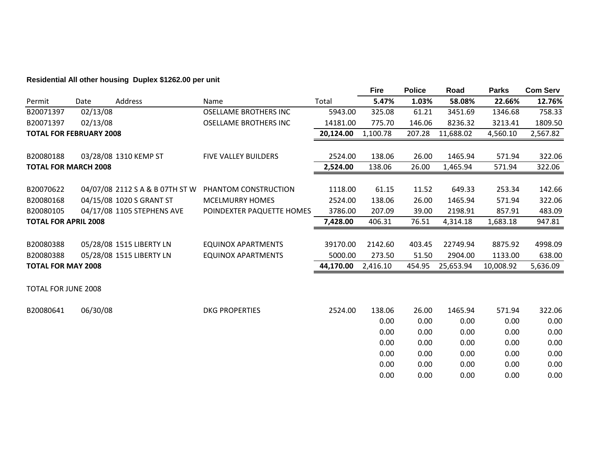# **Residential All other housing Duplex \$1262.00 per unit**

|                                |          |                                 |                              |           | <b>Fire</b> | <b>Police</b> | Road      | <b>Parks</b> | <b>Com Serv</b> |
|--------------------------------|----------|---------------------------------|------------------------------|-----------|-------------|---------------|-----------|--------------|-----------------|
| Permit                         | Date     | Address                         | Name                         | Total     | 5.47%       | 1.03%         | 58.08%    | 22.66%       | 12.76%          |
| B20071397                      | 02/13/08 |                                 | <b>OSELLAME BROTHERS INC</b> | 5943.00   | 325.08      | 61.21         | 3451.69   | 1346.68      | 758.33          |
| B20071397                      | 02/13/08 |                                 | <b>OSELLAME BROTHERS INC</b> | 14181.00  | 775.70      | 146.06        | 8236.32   | 3213.41      | 1809.50         |
| <b>TOTAL FOR FEBRUARY 2008</b> |          |                                 |                              | 20,124.00 | 1,100.78    | 207.28        | 11,688.02 | 4,560.10     | 2,567.82        |
|                                |          |                                 |                              |           |             |               |           |              |                 |
| B20080188                      |          | 03/28/08 1310 KEMP ST           | <b>FIVE VALLEY BUILDERS</b>  | 2524.00   | 138.06      | 26.00         | 1465.94   | 571.94       | 322.06          |
| <b>TOTAL FOR MARCH 2008</b>    |          |                                 |                              | 2,524.00  | 138.06      | 26.00         | 1,465.94  | 571.94       | 322.06          |
|                                |          |                                 |                              |           |             |               |           |              |                 |
| B20070622                      |          | 04/07/08 2112 S A & B 07TH ST W | PHANTOM CONSTRUCTION         | 1118.00   | 61.15       | 11.52         | 649.33    | 253.34       | 142.66          |
| B20080168                      |          | 04/15/08 1020 S GRANT ST        | <b>MCELMURRY HOMES</b>       | 2524.00   | 138.06      | 26.00         | 1465.94   | 571.94       | 322.06          |
| B20080105                      |          | 04/17/08 1105 STEPHENS AVE      | POINDEXTER PAQUETTE HOMES    | 3786.00   | 207.09      | 39.00         | 2198.91   | 857.91       | 483.09          |
| <b>TOTAL FOR APRIL 2008</b>    |          |                                 |                              | 7,428.00  | 406.31      | 76.51         | 4,314.18  | 1,683.18     | 947.81          |
|                                |          |                                 |                              |           |             |               |           |              |                 |
| B20080388                      |          | 05/28/08 1515 LIBERTY LN        | EQUINOX APARTMENTS           | 39170.00  | 2142.60     | 403.45        | 22749.94  | 8875.92      | 4998.09         |
| B20080388                      |          | 05/28/08 1515 LIBERTY LN        | <b>EQUINOX APARTMENTS</b>    | 5000.00   | 273.50      | 51.50         | 2904.00   | 1133.00      | 638.00          |
| <b>TOTAL FOR MAY 2008</b>      |          |                                 |                              | 44,170.00 | 2,416.10    | 454.95        | 25,653.94 | 10,008.92    | 5,636.09        |
|                                |          |                                 |                              |           |             |               |           |              |                 |
| <b>TOTAL FOR JUNE 2008</b>     |          |                                 |                              |           |             |               |           |              |                 |
|                                |          |                                 |                              |           |             |               |           |              |                 |
| B20080641                      | 06/30/08 |                                 | <b>DKG PROPERTIES</b>        | 2524.00   | 138.06      | 26.00         | 1465.94   | 571.94       | 322.06          |
|                                |          |                                 |                              |           | 0.00        | 0.00          | 0.00      | 0.00         | 0.00            |
|                                |          |                                 |                              |           | 0.00        | 0.00          | 0.00      | 0.00         | 0.00            |
|                                |          |                                 |                              |           | 0.00        | 0.00          | 0.00      | 0.00         | 0.00            |
|                                |          |                                 |                              |           | 0.00        | 0.00          | 0.00      | 0.00         | 0.00            |
|                                |          |                                 |                              |           | 0.00        | 0.00          | 0.00      | 0.00         | 0.00            |
|                                |          |                                 |                              |           | 0.00        | 0.00          | 0.00      | 0.00         | 0.00            |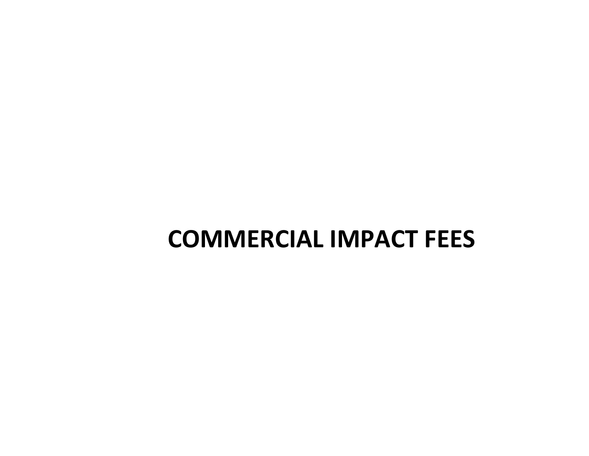# **COMMERCIAL IMPACT FEES**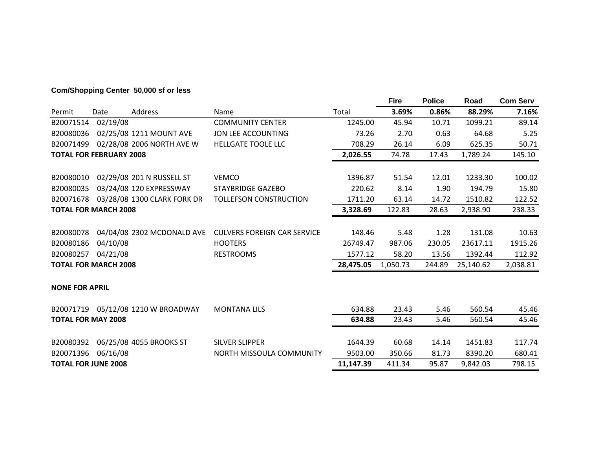# **Com/Shopping Center 50,000 sf or less**

|                                |          |                                    |                                    |           | <b>Fire</b> | <b>Police</b> | Road      | <b>Com Serv</b> |
|--------------------------------|----------|------------------------------------|------------------------------------|-----------|-------------|---------------|-----------|-----------------|
| Permit                         | Date     | Address                            | Name                               | Total     | 3.69%       | 0.86%         | 88.29%    | 7.16%           |
| B20071514                      | 02/19/08 |                                    | <b>COMMUNITY CENTER</b>            | 1245.00   | 45.94       | 10.71         | 1099.21   | 89.14           |
| B20080036                      |          | 02/25/08 1211 MOUNT AVE            | JON LEE ACCOUNTING                 | 73.26     | 2.70        | 0.63          | 64.68     | 5.25            |
| B20071499                      |          | 02/28/08 2006 NORTH AVE W          | HELLGATE TOOLE LLC                 | 708.29    | 26.14       | 6.09          | 625.35    | 50.71           |
| <b>TOTAL FOR FEBRUARY 2008</b> |          |                                    |                                    | 2,026.55  | 74.78       | 17.43         | 1,789.24  | 145.10          |
|                                |          |                                    |                                    |           |             |               |           |                 |
| B20080010                      |          | 02/29/08 201 N RUSSELL ST          | <b>VEMCO</b>                       | 1396.87   | 51.54       | 12.01         | 1233.30   | 100.02          |
| B20080035                      |          | 03/24/08 120 EXPRESSWAY            | <b>STAYBRIDGE GAZEBO</b>           | 220.62    | 8.14        | 1.90          | 194.79    | 15.80           |
| B20071678                      |          | 03/28/08 1300 CLARK FORK DR        | <b>TOLLEFSON CONSTRUCTION</b>      | 1711.20   | 63.14       | 14.72         | 1510.82   | 122.52          |
| <b>TOTAL FOR MARCH 2008</b>    |          |                                    | 3,328.69                           | 122.83    | 28.63       | 2,938.90      | 238.33    |                 |
|                                |          |                                    |                                    |           |             |               |           |                 |
| B20080078                      |          | 04/04/08 2302 MCDONALD AVE         | <b>CULVERS FOREIGN CAR SERVICE</b> | 148.46    | 5.48        | 1.28          | 131.08    | 10.63           |
| B20080186                      | 04/10/08 |                                    | <b>HOOTERS</b>                     | 26749.47  | 987.06      | 230.05        | 23617.11  | 1915.26         |
| B20080257                      | 04/21/08 |                                    | <b>RESTROOMS</b>                   | 1577.12   | 58.20       | 13.56         | 1392.44   | 112.92          |
| <b>TOTAL FOR MARCH 2008</b>    |          |                                    |                                    | 28,475.05 | 1,050.73    | 244.89        | 25,140.62 | 2,038.81        |
|                                |          |                                    |                                    |           |             |               |           |                 |
| <b>NONE FOR APRIL</b>          |          |                                    |                                    |           |             |               |           |                 |
|                                |          | B20071719 05/12/08 1210 W BROADWAY | <b>MONTANA LILS</b>                | 634.88    | 23.43       | 5.46          | 560.54    | 45.46           |
| <b>TOTAL FOR MAY 2008</b>      |          |                                    |                                    | 634.88    | 23.43       | 5.46          | 560.54    | 45.46           |
|                                |          |                                    |                                    |           |             |               |           |                 |
| B20080392                      |          | 06/25/08 4055 BROOKS ST            | <b>SILVER SLIPPER</b>              | 1644.39   | 60.68       | 14.14         | 1451.83   | 117.74          |
| B20071396                      | 06/16/08 |                                    | NORTH MISSOULA COMMUNITY           | 9503.00   | 350.66      | 81.73         | 8390.20   | 680.41          |
| <b>TOTAL FOR JUNE 2008</b>     |          |                                    |                                    | 11,147.39 | 411.34      | 95.87         | 9,842.03  | 798.15          |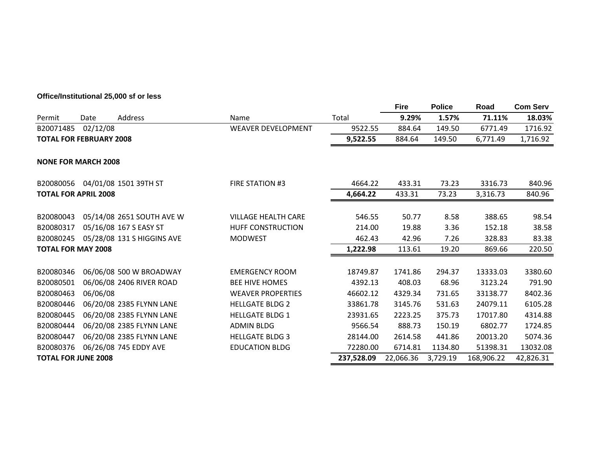# **Office/Institutional 25,000 sf or less**

|                                |          |                            |                            |           | <b>Fire</b> | <b>Police</b> | Road      | <b>Com Serv</b> |
|--------------------------------|----------|----------------------------|----------------------------|-----------|-------------|---------------|-----------|-----------------|
| Permit                         | Date     | Address                    | Name                       | Total     | 9.29%       | 1.57%         | 71.11%    | 18.03%          |
| B20071485                      | 02/12/08 |                            | <b>WEAVER DEVELOPMENT</b>  | 9522.55   | 884.64      | 149.50        | 6771.49   | 1716.92         |
| <b>TOTAL FOR FEBRUARY 2008</b> |          |                            |                            | 9,522.55  | 884.64      | 149.50        | 6,771.49  | 1,716.92        |
| <b>NONE FOR MARCH 2008</b>     |          |                            |                            |           |             |               |           |                 |
| B20080056                      |          | 04/01/08 1501 39TH ST      | FIRE STATION #3            | 4664.22   | 433.31      | 73.23         | 3316.73   | 840.96          |
| <b>TOTAL FOR APRIL 2008</b>    |          |                            |                            | 4,664.22  | 433.31      | 73.23         | 3,316.73  | 840.96          |
| B20080043                      |          | 05/14/08 2651 SOUTH AVE W  | <b>VILLAGE HEALTH CARE</b> | 546.55    | 50.77       | 8.58          | 388.65    | 98.54           |
| B20080317                      |          | 05/16/08 167 S EASY ST     | <b>HUFF CONSTRUCTION</b>   | 214.00    | 19.88       | 3.36          | 152.18    | 38.58           |
| B20080245                      |          | 05/28/08 131 S HIGGINS AVE | <b>MODWEST</b>             | 462.43    | 42.96       | 7.26          | 328.83    | 83.38           |
| <b>TOTAL FOR MAY 2008</b>      |          |                            |                            | 1,222.98  | 113.61      | 19.20         | 869.66    | 220.50          |
| B20080346                      |          | 06/06/08 500 W BROADWAY    | <b>EMERGENCY ROOM</b>      | 18749.87  | 1741.86     | 294.37        | 13333.03  | 3380.60         |
| B20080501                      |          | 06/06/08 2406 RIVER ROAD   | <b>BEE HIVE HOMES</b>      | 4392.13   | 408.03      | 68.96         | 3123.24   | 791.90          |
| B20080463                      | 06/06/08 |                            | <b>WEAVER PROPERTIES</b>   | 46602.12  | 4329.34     | 731.65        | 33138.77  | 8402.36         |
| B20080446                      |          | 06/20/08 2385 FLYNN LANE   | <b>HELLGATE BLDG 2</b>     | 33861.78  | 3145.76     | 531.63        | 24079.11  | 6105.28         |
| B20080445                      |          | 06/20/08 2385 FLYNN LANE   | <b>HELLGATE BLDG 1</b>     | 23931.65  | 2223.25     | 375.73        | 17017.80  | 4314.88         |
| B20080444                      |          | 06/20/08 2385 FLYNN LANE   | <b>ADMIN BLDG</b>          | 9566.54   | 888.73      | 150.19        | 6802.77   | 1724.85         |
| B20080447                      |          | 06/20/08 2385 FLYNN LANE   | <b>HELLGATE BLDG 3</b>     | 28144.00  | 2614.58     | 441.86        | 20013.20  | 5074.36         |
| B20080376                      |          | 06/26/08 745 EDDY AVE      | <b>EDUCATION BLDG</b>      | 72280.00  | 6714.81     | 1134.80       | 51398.31  | 13032.08        |
| <b>TOTAL FOR JUNE 2008</b>     |          |                            | 237,528.09                 | 22,066.36 | 3,729.19    | 168,906.22    | 42,826.31 |                 |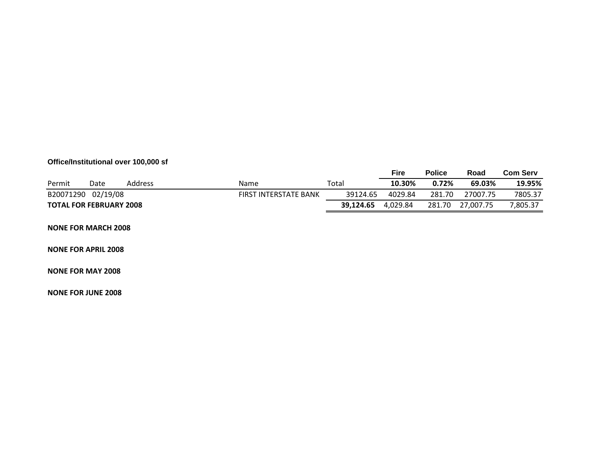# **Office/Institutional over 100,000 sf**

|                                |          |         |                              |           | Fire     | <b>Police</b> | Road      | Com Serv |
|--------------------------------|----------|---------|------------------------------|-----------|----------|---------------|-----------|----------|
| Permit                         | Date     | Address | Name                         | Total     | 10.30%   | 0.72%         | 69.03%    | 19.95%   |
| B20071290                      | 02/19/08 |         | <b>FIRST INTERSTATE BANK</b> | 39124.65  | 4029.84  | 281.70        | 27007.75  | 7805.37  |
| <b>TOTAL FOR FEBRUARY 2008</b> |          |         |                              | 39.124.65 | 4.029.84 | 281.70        | 27.007.75 | 805.37,  |

#### **NONE FOR MARCH 2008**

#### **NONE FOR APRIL 2008**

#### **NONE FOR MAY 2008**